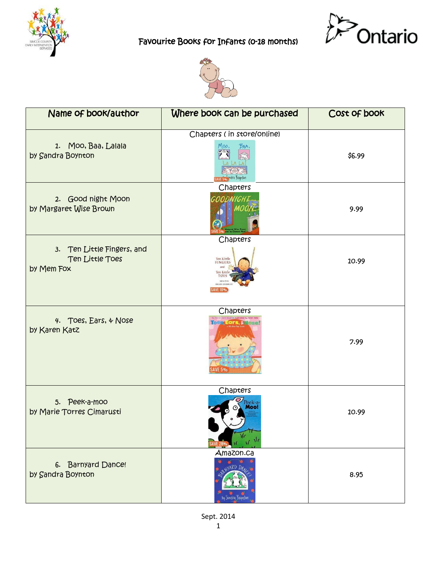





 $\mathbf{r}$ 

| Name of book/author                                         | Where book can be purchased                                                                          | Cost of book |
|-------------------------------------------------------------|------------------------------------------------------------------------------------------------------|--------------|
| 1. Moo, Baa, Lalala<br>by Sandra Boynton                    | Chapters (in store/online)<br>M00,<br>BAA,<br>s Wisson andra Bounton                                 | \$6.99       |
| 2. Good night Moon<br>by Margaret Wise Brown                | Chapters<br>GOODNIGH                                                                                 | 9.99         |
| 3. Ten Little Fingers, and<br>Ten Little Toes<br>by Mem Fox | Chapters<br>Ten Little<br><b>FINGERS</b><br>and<br>Ten Little<br>TOE:<br><b>HELEN ON</b><br>SAVE 10% | 10.99        |
| 4. Toes, Ears, & Nose<br>by Karen Katz                      | Chapters<br><b>Toes, Ears, &amp; Mese</b>                                                            | 7.99         |
| 5. Peek-a-moo<br>by Marie Torres Cimarusti                  | Chapters<br>Peek-a<br>Moo!                                                                           | 10.99        |
| 6. Barnyard Dance!<br>by Sandra Boynton                     | Amazon.ca<br>by Sandra Boynton                                                                       | 8.95         |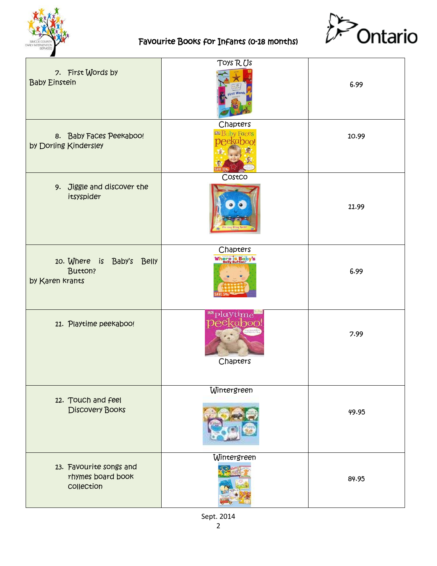



| 7. First Words by<br><b>Baby Einstein</b>                  | TOYS RUS<br>First Words                      | 6.99  |
|------------------------------------------------------------|----------------------------------------------|-------|
| 8. Baby Faces Peekaboo!<br>by Dorling Kindersley           | Chapters<br><b>DR Baby Faces</b><br>neekahoo | 10.99 |
| 9. Jiggle and discover the<br>itsyspider                   | Costco                                       | 11.99 |
| 10. Where is Baby's Belly<br>Button?<br>by Karen Krants    | Chapters<br>Where is Baby's                  | 6.99  |
| 11. Playtime peekaboo!                                     | ™playtime<br>peekaboo<br>Chapters            | 7.99  |
| 12. Touch and feel<br><b>Discovery Books</b>               | Wintergreen                                  | 49.95 |
| 13. Favourite songs and<br>rhymes board book<br>collection | Wintergreen                                  | 84.95 |

Sept. 2014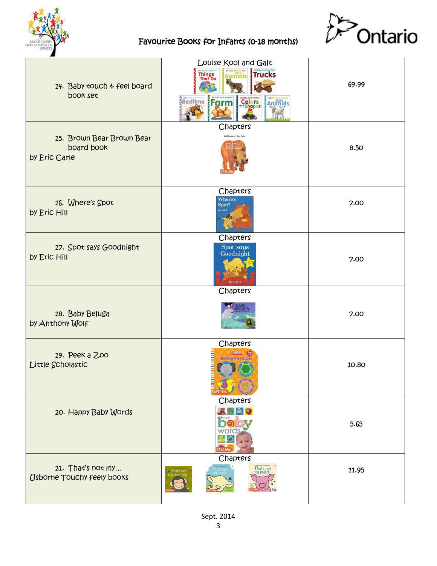



| 14. Baby touch & feel board<br>book set                  | Louise Kool and Galt<br><b>Animals</b> Trucks<br>Things<br>That Go<br>Bedtime Form<br>Anjmals<br><b>Colors</b><br>and Shapes | 69.99 |
|----------------------------------------------------------|------------------------------------------------------------------------------------------------------------------------------|-------|
| 15. Brown Bear Brown Bear<br>board book<br>by Eric Carle | Chapters<br><b>Bill Martin Jr / Eric Carle</b>                                                                               | 8.50  |
| 16. Where's Spot<br>by Eric Hill                         | Chapters<br>Where's<br>Spot?                                                                                                 | 7.00  |
| 17. Spot says Goodnight<br>by Eric Hill                  | Chapters<br>Spot says<br>Goodnight<br>Eric Hill                                                                              | 7.00  |
| 18. Baby Beluga<br>by Anthony Wolf                       | Chapters<br><b>ELUGA</b>                                                                                                     | 7.00  |
| 19. Реек а 200<br>Little Scholastic                      | Chapters<br><b>Regis</b><br>Peek-a-Zoo                                                                                       | 10.80 |
| 20. Happy Baby Words                                     | Chapters<br>word<br>Ġ                                                                                                        | 5.65  |
| 21. That's not my<br><b>Usborne Touchy feely books</b>   | Chapters<br>That's not<br>ny pigle                                                                                           | 11.95 |